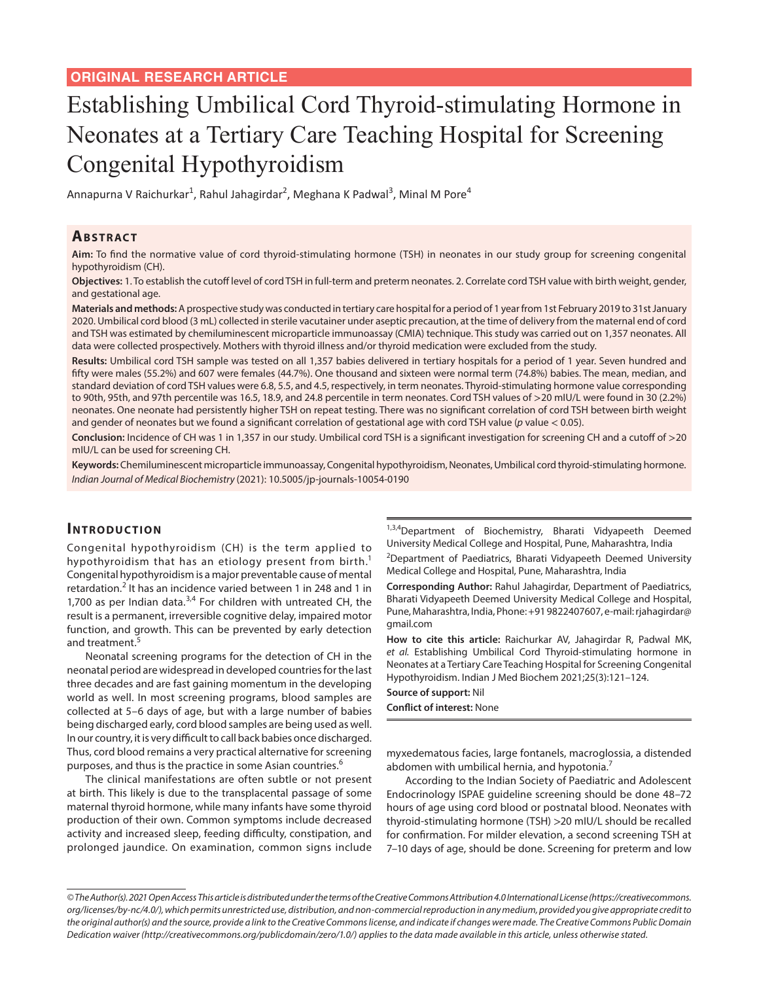# Establishing Umbilical Cord Thyroid-stimulating Hormone in Neonates at a Tertiary Care Teaching Hospital for Screening Congenital Hypothyroidism

Annapurna V Raichurkar<sup>1</sup>, Rahul Jahagirdar<sup>2</sup>, Meghana K Padwal<sup>3</sup>, Minal M Pore<sup>4</sup>

#### **ABSTRACT**

**Aim:** To find the normative value of cord thyroid-stimulating hormone (TSH) in neonates in our study group for screening congenital hypothyroidism (CH).

**Objectives:** 1. To establish the cutoff level of cord TSH in full-term and preterm neonates. 2. Correlate cord TSH value with birth weight, gender, and gestational age.

**Materials and methods:** A prospective study was conducted in tertiary care hospital for a period of 1 year from 1st February 2019 to 31st January 2020. Umbilical cord blood (3 mL) collected in sterile vacutainer under aseptic precaution, at the time of delivery from the maternal end of cord and TSH was estimated by chemiluminescent microparticle immunoassay (CMIA) technique. This study was carried out on 1,357 neonates. All data were collected prospectively. Mothers with thyroid illness and/or thyroid medication were excluded from the study.

**Results:** Umbilical cord TSH sample was tested on all 1,357 babies delivered in tertiary hospitals for a period of 1 year. Seven hundred and fifty were males (55.2%) and 607 were females (44.7%). One thousand and sixteen were normal term (74.8%) babies. The mean, median, and standard deviation of cord TSH values were 6.8, 5.5, and 4.5, respectively, in term neonates. Thyroid-stimulating hormone value corresponding to 90th, 95th, and 97th percentile was 16.5, 18.9, and 24.8 percentile in term neonates. Cord TSH values of >20 mIU/L were found in 30 (2.2%) neonates. One neonate had persistently higher TSH on repeat testing. There was no significant correlation of cord TSH between birth weight and gender of neonates but we found a significant correlation of gestational age with cord TSH value (*p* value < 0.05).

**Conclusion:** Incidence of CH was 1 in 1,357 in our study. Umbilical cord TSH is a significant investigation for screening CH and a cutoff of >20 mIU/L can be used for screening CH.

**Keywords:** Chemiluminescent microparticle immunoassay, Congenital hypothyroidism, Neonates, Umbilical cord thyroid-stimulating hormone. *Indian Journal of Medical Biochemistry* (2021): 10.5005/jp-journals-10054-0190

#### **INTRODUCTION**

Congenital hypothyroidism (CH) is the term applied to hypothyroidism that has an etiology present from birth.<sup>1</sup> Congenital hypothyroidism is a major preventable cause of mental retardation.<sup>2</sup> It has an incidence varied between 1 in 248 and 1 in 1,700 as per Indian data. $3,4$  For children with untreated CH, the result is a permanent, irreversible cognitive delay, impaired motor function, and growth. This can be prevented by early detection and treatment.<sup>5</sup>

Neonatal screening programs for the detection of CH in the neonatal period are widespread in developed countries for the last three decades and are fast gaining momentum in the developing world as well. In most screening programs, blood samples are collected at 5–6 days of age, but with a large number of babies being discharged early, cord blood samples are being used as well. In our country, it is very difficult to call back babies once discharged. Thus, cord blood remains a very practical alternative for screening purposes, and thus is the practice in some Asian countries.<sup>6</sup>

The clinical manifestations are often subtle or not present at birth. This likely is due to the transplacental passage of some maternal thyroid hormone, while many infants have some thyroid production of their own. Common symptoms include decreased activity and increased sleep, feeding difficulty, constipation, and prolonged jaundice. On examination, common signs include

<sup>1,3,4</sup>Department of Biochemistry, Bharati Vidyapeeth Deemed University Medical College and Hospital, Pune, Maharashtra, India

<sup>2</sup>Department of Paediatrics, Bharati Vidyapeeth Deemed University Medical College and Hospital, Pune, Maharashtra, India

**Corresponding Author:** Rahul Jahagirdar, Department of Paediatrics, Bharati Vidyapeeth Deemed University Medical College and Hospital, Pune, Maharashtra, India, Phone: +91 9822407607, e-mail: rjahagirdar@ gmail.com

**How to cite this article:** Raichurkar AV, Jahagirdar R, Padwal MK, *et al.* Establishing Umbilical Cord Thyroid-stimulating hormone in Neonates at a Tertiary Care Teaching Hospital for Screening Congenital Hypothyroidism. Indian J Med Biochem 2021;25(3):121–124.

**Source of support:** Nil

**Conflict of interest:** None

myxedematous facies, large fontanels, macroglossia, a distended abdomen with umbilical hernia, and hypotonia.<sup>7</sup>

According to the Indian Society of Paediatric and Adolescent Endocrinology ISPAE guideline screening should be done 48–72 hours of age using cord blood or postnatal blood. Neonates with thyroid-stimulating hormone (TSH) >20 mIU/L should be recalled for confirmation. For milder elevation, a second screening TSH at 7–10 days of age, should be done. Screening for preterm and low

*<sup>©</sup> The Author(s). 2021 Open Access This article is distributed under the terms of the Creative Commons Attribution 4.0 International License (https://creativecommons. org/licenses/by-nc/4.0/), which permits unrestricted use, distribution, and non-commercial reproduction in any medium, provided you give appropriate credit to the original author(s) and the source, provide a link to the Creative Commons license, and indicate if changes were made. The Creative Commons Public Domain Dedication waiver (http://creativecommons.org/publicdomain/zero/1.0/) applies to the data made available in this article, unless otherwise stated.*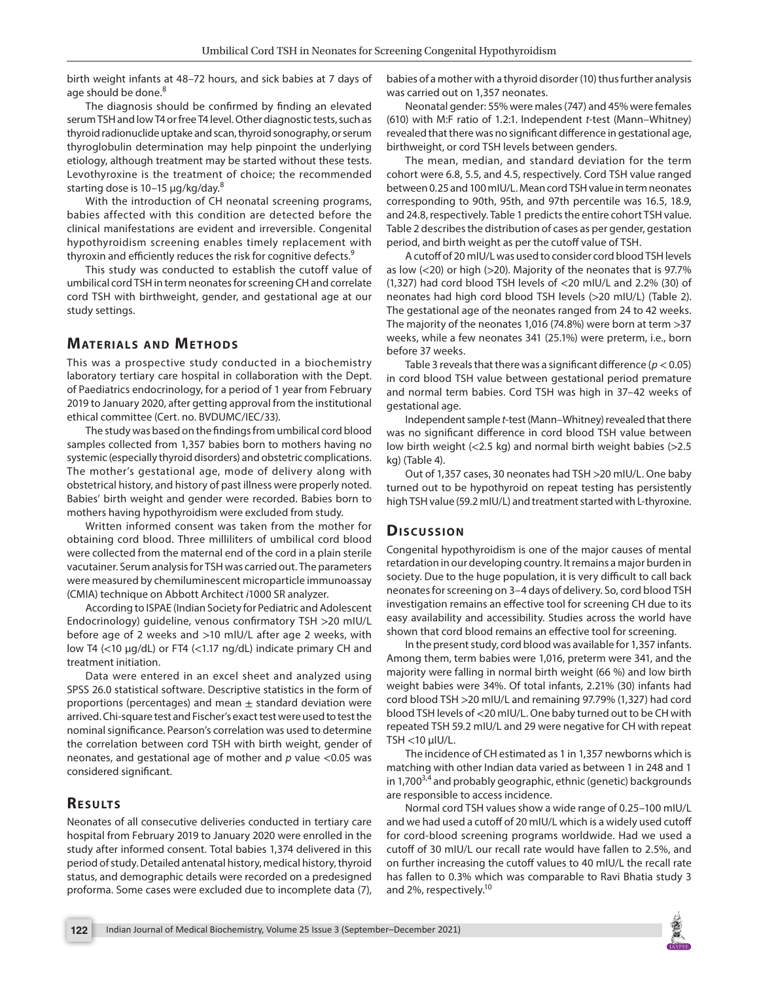birth weight infants at 48–72 hours, and sick babies at 7 days of age should be done.<sup>8</sup>

The diagnosis should be confirmed by finding an elevated serum TSH and low T4 or free T4 level. Other diagnostic tests, such as thyroid radionuclide uptake and scan, thyroid sonography, or serum thyroglobulin determination may help pinpoint the underlying etiology, although treatment may be started without these tests. Levothyroxine is the treatment of choice; the recommended starting dose is 10-15 μg/kg/day.<sup>8</sup>

With the introduction of CH neonatal screening programs, babies affected with this condition are detected before the clinical manifestations are evident and irreversible. Congenital hypothyroidism screening enables timely replacement with thyroxin and efficiently reduces the risk for cognitive defects.<sup>9</sup>

This study was conducted to establish the cutoff value of umbilical cord TSH in term neonates for screening CH and correlate cord TSH with birthweight, gender, and gestational age at our study settings.

### **MATERIALS AND METHODS**

This was a prospective study conducted in a biochemistry laboratory tertiary care hospital in collaboration with the Dept. of Paediatrics endocrinology, for a period of 1 year from February 2019 to January 2020, after getting approval from the institutional ethical committee (Cert. no. BVDUMC/IEC/33).

The study was based on the findings from umbilical cord blood samples collected from 1,357 babies born to mothers having no systemic (especially thyroid disorders) and obstetric complications. The mother's gestational age, mode of delivery along with obstetrical history, and history of past illness were properly noted. Babies' birth weight and gender were recorded. Babies born to mothers having hypothyroidism were excluded from study.

Written informed consent was taken from the mother for obtaining cord blood. Three milliliters of umbilical cord blood were collected from the maternal end of the cord in a plain sterile vacutainer. Serum analysis for TSH was carried out. The parameters were measured by chemiluminescent microparticle immunoassay (CMIA) technique on Abbott Architect *i*1000 SR analyzer.

According to ISPAE (Indian Society for Pediatric and Adolescent Endocrinology) guideline, venous confirmatory TSH >20 mIU/L before age of 2 weeks and >10 mIU/L after age 2 weeks, with low T4 (<10 μg/dL) or FT4 (<1.17 ng/dL) indicate primary CH and treatment initiation.

Data were entered in an excel sheet and analyzed using SPSS 26.0 statistical software. Descriptive statistics in the form of proportions (percentages) and mean  $\pm$  standard deviation were arrived. Chi-square test and Fischer's exact test were used to test the nominal significance. Pearson's correlation was used to determine the correlation between cord TSH with birth weight, gender of neonates, and gestational age of mother and *p* value <0.05 was considered significant.

## **RESULTS**

Neonates of all consecutive deliveries conducted in tertiary care hospital from February 2019 to January 2020 were enrolled in the study after informed consent. Total babies 1,374 delivered in this period of study. Detailed antenatal history, medical history, thyroid status, and demographic details were recorded on a predesigned proforma. Some cases were excluded due to incomplete data (7),

babies of a mother with a thyroid disorder (10) thus further analysis was carried out on 1,357 neonates.

Neonatal gender: 55% were males (747) and 45% were females (610) with M:F ratio of 1.2:1. Independent *t*-test (Mann–Whitney) revealed that there was no significant difference in gestational age, birthweight, or cord TSH levels between genders.

The mean, median, and standard deviation for the term cohort were 6.8, 5.5, and 4.5, respectively. Cord TSH value ranged between 0.25 and 100 mIU/L. Mean cord TSH value in term neonates corresponding to 90th, 95th, and 97th percentile was 16.5, 18.9, and 24.8, respectively. Table 1 predicts the entire cohort TSH value. Table 2 describes the distribution of cases as per gender, gestation period, and birth weight as per the cutoff value of TSH.

A cutoff of 20 mIU/L was used to consider cord blood TSH levels as low  $(<$ 20) or high  $(>$ 20). Majority of the neonates that is 97.7% (1,327) had cord blood TSH levels of <20 mIU/L and 2.2% (30) of neonates had high cord blood TSH levels (>20 mIU/L) (Table 2). The gestational age of the neonates ranged from 24 to 42 weeks. The majority of the neonates 1,016 (74.8%) were born at term >37 weeks, while a few neonates 341 (25.1%) were preterm, i.e., born before 37 weeks.

Table 3 reveals that there was a significant difference (*p*< 0.05) in cord blood TSH value between gestational period premature and normal term babies. Cord TSH was high in 37–42 weeks of gestational age.

Independent sample *t*-test (Mann–Whitney) revealed that there was no significant difference in cord blood TSH value between low birth weight (<2.5 kg) and normal birth weight babies (>2.5 kg) (Table 4).

Out of 1,357 cases, 30 neonates had TSH >20 mIU/L. One baby turned out to be hypothyroid on repeat testing has persistently high TSH value (59.2 mIU/L) and treatment started with L-thyroxine.

## **Dis c u s sio n**

Congenital hypothyroidism is one of the major causes of mental retardation in our developing country. It remains a major burden in society. Due to the huge population, it is very difficult to call back neonates for screening on 3–4 days of delivery. So, cord blood TSH investigation remains an effective tool for screening CH due to its easy availability and accessibility. Studies across the world have shown that cord blood remains an effective tool for screening.

In the present study, cord blood was available for 1,357 infants. Among them, term babies were 1,016, preterm were 341, and the majority were falling in normal birth weight (66 %) and low birth weight babies were 34%. Of total infants, 2.21% (30) infants had cord blood TSH >20 mIU/L and remaining 97.79% (1,327) had cord blood TSH levels of <20 mIU/L. One baby turned out to be CH with repeated TSH 59.2 mIU/L and 29 were negative for CH with repeat TSH <10 μIU/L.

The incidence of CH estimated as 1 in 1,357 newborns which is matching with other Indian data varied as between 1 in 248 and 1 in 1,700<sup>3,4</sup> and probably geographic, ethnic (genetic) backgrounds are responsible to access incidence.

Normal cord TSH values show a wide range of 0.25–100 mIU/L and we had used a cutoff of 20 mIU/L which is a widely used cutoff for cord-blood screening programs worldwide. Had we used a cutoff of 30 mIU/L our recall rate would have fallen to 2.5%, and on further increasing the cutoff values to 40 mIU/L the recall rate has fallen to 0.3% which was comparable to Ravi Bhatia study 3 and 2%, respectively.<sup>10</sup>

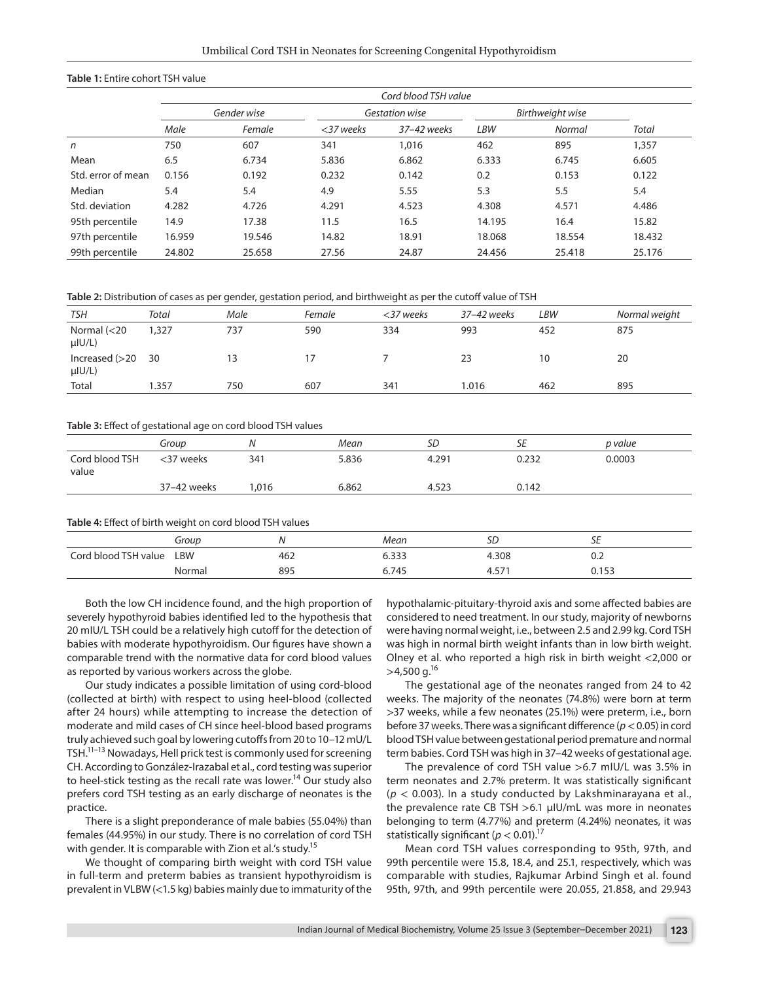#### **Table 1:** Entire cohort TSH value

|                    | Cord blood TSH value |        |                |             |                  |        |        |
|--------------------|----------------------|--------|----------------|-------------|------------------|--------|--------|
|                    | Gender wise          |        | Gestation wise |             | Birthweight wise |        |        |
|                    | Male                 | Female | $<$ 37 weeks   | 37-42 weeks | <b>LBW</b>       | Normal | Total  |
| n                  | 750                  | 607    | 341            | 1,016       | 462              | 895    | 1,357  |
| Mean               | 6.5                  | 6.734  | 5.836          | 6.862       | 6.333            | 6.745  | 6.605  |
| Std. error of mean | 0.156                | 0.192  | 0.232          | 0.142       | 0.2              | 0.153  | 0.122  |
| Median             | 5.4                  | 5.4    | 4.9            | 5.55        | 5.3              | 5.5    | 5.4    |
| Std. deviation     | 4.282                | 4.726  | 4.291          | 4.523       | 4.308            | 4.571  | 4.486  |
| 95th percentile    | 14.9                 | 17.38  | 11.5           | 16.5        | 14.195           | 16.4   | 15.82  |
| 97th percentile    | 16.959               | 19.546 | 14.82          | 18.91       | 18.068           | 18.554 | 18.432 |
| 99th percentile    | 24.802               | 25.658 | 27.56          | 24.87       | 24.456           | 25.418 | 25.176 |

**Table 2:** Distribution of cases as per gender, gestation period, and birthweight as per the cutoff value of TSH

| <b>TSH</b>                      | Total  | Male | Female | <37 weeks       | 37-42 weeks | LBW | Normal weight |
|---------------------------------|--------|------|--------|-----------------|-------------|-----|---------------|
| Normal $(<$ 20<br>$\mu$ IU/L)   | 327, ا | 737  | 590    | 334             | 993         | 452 | 875           |
| Increased $(>20$<br>$\mu$ IU/L) | 30     |      |        |                 | 23          | 10  | 20            |
| Total                           | 1.357  | 750  | 607    | 34 <sup>°</sup> | .016        | 462 | 895           |

#### **Table 3:** Effect of gestational age on cord blood TSH values

|                         | Group       | Ν               | Mean  | SD    | SE    | p value |
|-------------------------|-------------|-----------------|-------|-------|-------|---------|
| Cord blood TSH<br>value | <37 weeks   | 34 <sup>1</sup> | 5.836 | 4.291 | 0.232 | 0.0003  |
|                         | 37-42 weeks | 016. ا          | 6.862 | 4.523 | 0.142 |         |

**Table 4:** Effect of birth weight on cord blood TSH values

|                      | Group  | N   | Mean  | שכ            | ᅩ     |
|----------------------|--------|-----|-------|---------------|-------|
| Cord blood TSH value | LBW    | 462 | 6.333 | 4.308         | v.z   |
|                      | Normal | 895 | 6.745 | $- -$<br>4.5/ | 0.153 |
|                      |        |     |       |               |       |

Both the low CH incidence found, and the high proportion of severely hypothyroid babies identified led to the hypothesis that 20 mIU/L TSH could be a relatively high cutoff for the detection of babies with moderate hypothyroidism. Our figures have shown a comparable trend with the normative data for cord blood values as reported by various workers across the globe.

Our study indicates a possible limitation of using cord-blood (collected at birth) with respect to using heel-blood (collected after 24 hours) while attempting to increase the detection of moderate and mild cases of CH since heel-blood based programs truly achieved such goal by lowering cutoffs from 20 to 10–12 mU/L TSH.<sup>11–13</sup> Nowadays, Hell prick test is commonly used for screening CH. According to González-Irazabal et al., cord testing was superior to heel-stick testing as the recall rate was lower.<sup>14</sup> Our study also prefers cord TSH testing as an early discharge of neonates is the practice.

There is a slight preponderance of male babies (55.04%) than females (44.95%) in our study. There is no correlation of cord TSH with gender. It is comparable with Zion et al.'s study.<sup>15</sup>

We thought of comparing birth weight with cord TSH value in full-term and preterm babies as transient hypothyroidism is prevalent in VLBW (<1.5 kg) babies mainly due to immaturity of the hypothalamic-pituitary-thyroid axis and some affected babies are considered to need treatment. In our study, majority of newborns were having normal weight, i.e., between 2.5 and 2.99 kg. Cord TSH was high in normal birth weight infants than in low birth weight. Olney et al. who reported a high risk in birth weight <2,000 or  $>4,500$  g.<sup>16</sup>

The gestational age of the neonates ranged from 24 to 42 weeks. The majority of the neonates (74.8%) were born at term >37 weeks, while a few neonates (25.1%) were preterm, i.e., born before 37 weeks. There was a significant difference (*p*< 0.05) in cord blood TSH value between gestational period premature and normal term babies. Cord TSH was high in 37–42 weeks of gestational age.

The prevalence of cord TSH value >6.7 mIU/L was 3.5% in term neonates and 2.7% preterm. It was statistically significant (*p* < 0.003). In a study conducted by Lakshminarayana et al., the prevalence rate CB TSH >6.1 μIU/mL was more in neonates belonging to term (4.77%) and preterm (4.24%) neonates, it was statistically significant ( $p < 0.01$ ).<sup>17</sup>

Mean cord TSH values corresponding to 95th, 97th, and 99th percentile were 15.8, 18.4, and 25.1, respectively, which was comparable with studies, Rajkumar Arbind Singh et al. found 95th, 97th, and 99th percentile were 20.055, 21.858, and 29.943